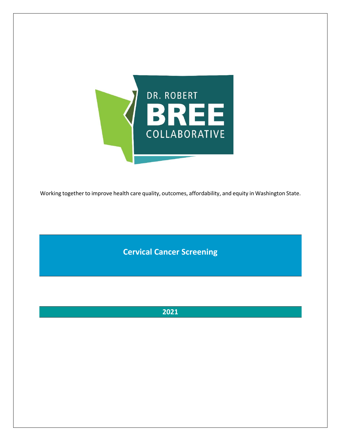

Working together to improve health care quality, outcomes, affordability, and equity in Washington State.

**Cervical Cancer Screening**

**2021**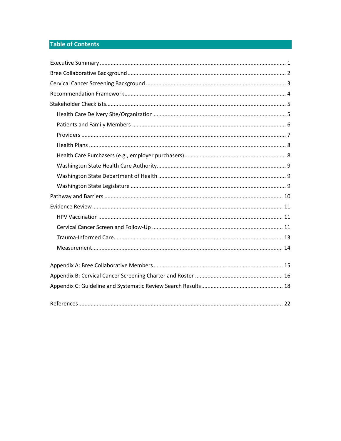# **Table of Contents**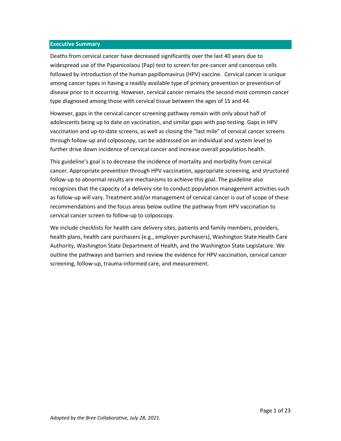#### <span id="page-2-0"></span>**Executive Summary**

Deaths from cervical cancer have decreased significantly over the last 40 years due to widespread use of the Papanicolaou (Pap) test to screen for pre-cancer and cancerous cells followed by introduction of the human papillomavirus (HPV) vaccine. Cervical cancer is unique among cancer types in having a readily available type of primary prevention or prevention of disease prior to it occurring. However, cervical cancer remains the second most common cancer type diagnosed among those with cervical tissue between the ages of 15 and 44.

However, gaps in the cervical cancer screening pathway remain with only about half of adolescents being up to date on vaccination, and similar gaps with pap testing. Gaps in HPV vaccination and up-to-date screens, as well as closing the "last mile" of cervical cancer screens through follow-up and colposcopy, can be addressed on an individual and system level to further drive down incidence of cervical cancer and increase overall population health.

This guideline's goal is to decrease the incidence of mortality and morbidity from cervical cancer. Appropriate prevention through HPV vaccination, appropriate screening, and structured follow-up to abnormal results are mechanisms to achieve this goal. The guideline also recognizes that the capacity of a delivery site to conduct population management activities such as follow-up will vary. Treatment and/or management of cervical cancer is out of scope of these recommendations and the focus areas below outline the pathway from HPV vaccination to cervical cancer screen to follow-up to colposcopy.

We include checklists for health care delivery sites, patients and family members, providers, health plans, health care purchasers (e.g., employer purchasers), Washington State Health Care Authority, Washington State Department of Health, and the Washington State Legislature. We outline the pathways and barriers and review the evidence for HPV vaccination, cervical cancer screening, follow-up, trauma-informed care, and measurement.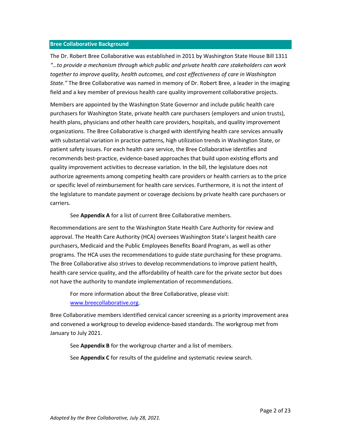#### <span id="page-3-0"></span>**Bree Collaborative Background**

The Dr. Robert Bree Collaborative was established in 2011 by Washington State House Bill 1311 *"…to provide a mechanism through which public and private health care stakeholders can work together to improve quality, health outcomes, and cost effectiveness of care in Washington State."* The Bree Collaborative was named in memory of Dr. Robert Bree, a leader in the imaging field and a key member of previous health care quality improvement collaborative projects.

Members are appointed by the Washington State Governor and include public health care purchasers for Washington State, private health care purchasers (employers and union trusts), health plans, physicians and other health care providers, hospitals, and quality improvement organizations. The Bree Collaborative is charged with identifying health care services annually with substantial variation in practice patterns, high utilization trends in Washington State, or patient safety issues. For each health care service, the Bree Collaborative identifies and recommends best-practice, evidence-based approaches that build upon existing efforts and quality improvement activities to decrease variation. In the bill, the legislature does not authorize agreements among competing health care providers or health carriers as to the price or specific level of reimbursement for health care services. Furthermore, it is not the intent of the legislature to mandate payment or coverage decisions by private health care purchasers or carriers.

See **Appendix A** for a list of current Bree Collaborative members.

Recommendations are sent to the Washington State Health Care Authority for review and approval. The Health Care Authority (HCA) oversees Washington State's largest health care purchasers, Medicaid and the Public Employees Benefits Board Program, as well as other programs. The HCA uses the recommendations to guide state purchasing for these programs. The Bree Collaborative also strives to develop recommendations to improve patient health, health care service quality, and the affordability of health care for the private sector but does not have the authority to mandate implementation of recommendations.

For more information about the Bree Collaborative, please visit: [www.breecollaborative.org.](http://www.breecollaborative.org/)

Bree Collaborative members identified cervical cancer screening as a priority improvement area and convened a workgroup to develop evidence-based standards. The workgroup met from January to July 2021.

See **Appendix B** for the workgroup charter and a list of members.

See **Appendix C** for results of the guideline and systematic review search.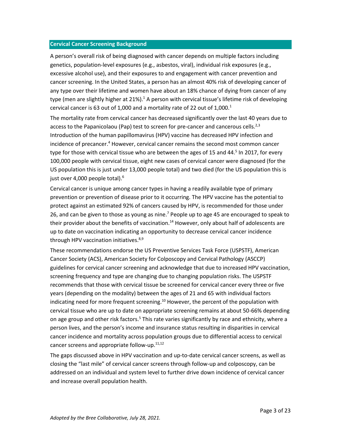#### <span id="page-4-0"></span>**Cervical Cancer Screening Background**

A person's overall risk of being diagnosed with cancer depends on multiple factors including genetics, population-level exposures (e.g., asbestos, viral), individual risk exposures (e.g., excessive alcohol use), and their exposures to and engagement with cancer prevention and cancer screening. In the United States, a person has an almost 40% risk of developing cancer of any type over their lifetime and women have about an 18% chance of dying from cancer of any type (men are slightly higher at 21%).<sup>1</sup> A person with cervical tissue's lifetime risk of developing cervical cancer is 63 out of 1,000 and a mortality rate of 22 out of 1,000. $^1$ 

The mortality rate from cervical cancer has decreased significantly over the last 40 years due to access to the Papanicolaou (Pap) test to screen for pre-cancer and cancerous cells.<sup>2,3</sup> Introduction of the human papillomavirus (HPV) vaccine has decreased HPV infection and incidence of precancer. <sup>4</sup> However, cervical cancer remains the second most common cancer type for those with cervical tissue who are between the ages of 15 and 44.<sup>5</sup> In 2017, for every 100,000 people with cervical tissue, eight new cases of cervical cancer were diagnosed (for the US population this is just under 13,000 people total) and two died (for the US population this is just over 4,000 people total).<sup>6</sup>

Cervical cancer is unique among cancer types in having a readily available type of primary prevention or prevention of disease prior to it occurring. The HPV vaccine has the potential to protect against an estimated 92% of cancers caused by HPV, is recommended for those under 26, and can be given to those as young as nine.<sup>7</sup> People up to age 45 are encouraged to speak to their provider about the benefits of vaccination.<sup>14</sup> However, only about half of adolescents are up to date on vaccination indicating an opportunity to decrease cervical cancer incidence through HPV vaccination initiatives.<sup>8,9</sup>

These recommendations endorse the US Preventive Services Task Force (USPSTF), American Cancer Society (ACS), American Society for Colposcopy and Cervical Pathology (ASCCP) guidelines for cervical cancer screening and acknowledge that due to increased HPV vaccination, screening frequency and type are changing due to changing population risks. The USPSTF recommends that those with cervical tissue be screened for cervical cancer every three or five years (depending on the modality) between the ages of 21 and 65 with individual factors indicating need for more frequent screening.<sup>10</sup> However, the percent of the population with cervical tissue who are up to date on appropriate screening remains at about 50-66% depending on age group and other risk factors.<sup>5</sup> This rate varies significantly by race and ethnicity, where a person lives, and the person's income and insurance status resulting in disparities in cervical cancer incidence and mortality across population groups due to differential access to cervical cancer screens and appropriate follow-up.<sup>11,12</sup>

The gaps discussed above in HPV vaccination and up-to-date cervical cancer screens, as well as closing the "last mile" of cervical cancer screens through follow-up and colposcopy, can be addressed on an individual and system level to further drive down incidence of cervical cancer and increase overall population health.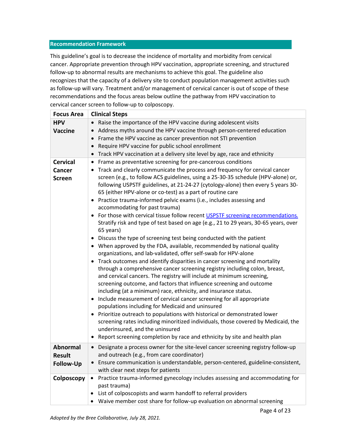## <span id="page-5-0"></span>**Recommendation Framework**

This guideline's goal is to decrease the incidence of mortality and morbidity from cervical cancer. Appropriate prevention through HPV vaccination, appropriate screening, and structured follow-up to abnormal results are mechanisms to achieve this goal. The guideline also recognizes that the capacity of a delivery site to conduct population management activities such as follow-up will vary. Treatment and/or management of cervical cancer is out of scope of these recommendations and the focus areas below outline the pathway from HPV vaccination to cervical cancer screen to follow-up to colposcopy.

| <b>Focus Area</b>                                    | <b>Clinical Steps</b>                                                                                                                                                                                                                                                                                                                                                                                                                                                                                                                                                                                                                                                                                                                                                                                                                                                                                                                                                                                                                                                                                                                                                                                                                                                                                                                                                                                                                                                                                                                                                                                                                                                                                                                                           |
|------------------------------------------------------|-----------------------------------------------------------------------------------------------------------------------------------------------------------------------------------------------------------------------------------------------------------------------------------------------------------------------------------------------------------------------------------------------------------------------------------------------------------------------------------------------------------------------------------------------------------------------------------------------------------------------------------------------------------------------------------------------------------------------------------------------------------------------------------------------------------------------------------------------------------------------------------------------------------------------------------------------------------------------------------------------------------------------------------------------------------------------------------------------------------------------------------------------------------------------------------------------------------------------------------------------------------------------------------------------------------------------------------------------------------------------------------------------------------------------------------------------------------------------------------------------------------------------------------------------------------------------------------------------------------------------------------------------------------------------------------------------------------------------------------------------------------------|
| <b>HPV</b><br><b>Vaccine</b>                         | Raise the importance of the HPV vaccine during adolescent visits<br>Address myths around the HPV vaccine through person-centered education<br>$\bullet$<br>Frame the HPV vaccine as cancer prevention not STI prevention<br>$\bullet$<br>Require HPV vaccine for public school enrollment<br>$\bullet$<br>Track HPV vaccination at a delivery site level by age, race and ethnicity<br>$\bullet$                                                                                                                                                                                                                                                                                                                                                                                                                                                                                                                                                                                                                                                                                                                                                                                                                                                                                                                                                                                                                                                                                                                                                                                                                                                                                                                                                                |
| <b>Cervical</b><br><b>Cancer</b><br><b>Screen</b>    | Frame as preventative screening for pre-cancerous conditions<br>$\bullet$<br>Track and clearly communicate the process and frequency for cervical cancer<br>$\bullet$<br>screen (e.g., to follow ACS guidelines, using a 25-30-35 schedule (HPV-alone) or,<br>following USPSTF guidelines, at 21-24-27 (cytology-alone) then every 5 years 30-<br>65 (either HPV-alone or co-test) as a part of routine care<br>• Practice trauma-informed pelvic exams (i.e., includes assessing and<br>accommodating for past trauma)<br>For those with cervical tissue follow recent USPSTF screening recommendations.<br>$\bullet$<br>Stratify risk and type of test based on age (e.g., 21 to 29 years, 30-65 years, over<br>65 years)<br>• Discuss the type of screening test being conducted with the patient<br>• When approved by the FDA, available, recommended by national quality<br>organizations, and lab-validated, offer self-swab for HPV-alone<br>Track outcomes and identify disparities in cancer screening and mortality<br>$\bullet$<br>through a comprehensive cancer screening registry including colon, breast,<br>and cervical cancers. The registry will include at minimum screening,<br>screening outcome, and factors that influence screening and outcome<br>including (at a minimum) race, ethnicity, and insurance status.<br>• Include measurement of cervical cancer screening for all appropriate<br>populations including for Medicaid and uninsured<br>• Prioritize outreach to populations with historical or demonstrated lower<br>screening rates including minoritized individuals, those covered by Medicaid, the<br>underinsured, and the uninsured<br>• Report screening completion by race and ethnicity by site and health plan |
| <b>Abnormal</b><br><b>Result</b><br><b>Follow-Up</b> | Designate a process owner for the site-level cancer screening registry follow-up<br>$\bullet$<br>and outreach (e.g., from care coordinator)<br>Ensure communication is understandable, person-centered, guideline-consistent,<br>with clear next steps for patients                                                                                                                                                                                                                                                                                                                                                                                                                                                                                                                                                                                                                                                                                                                                                                                                                                                                                                                                                                                                                                                                                                                                                                                                                                                                                                                                                                                                                                                                                             |
| Colposcopy                                           | Practice trauma-informed gynecology includes assessing and accommodating for<br>٠<br>past trauma)<br>List of colposcopists and warm handoff to referral providers<br>٠<br>Waive member cost share for follow-up evaluation on abnormal screening                                                                                                                                                                                                                                                                                                                                                                                                                                                                                                                                                                                                                                                                                                                                                                                                                                                                                                                                                                                                                                                                                                                                                                                                                                                                                                                                                                                                                                                                                                                |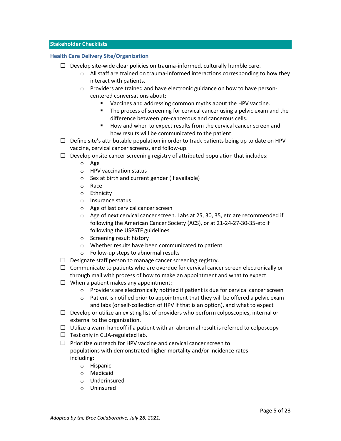## <span id="page-6-0"></span>**Stakeholder Checklists**

## <span id="page-6-1"></span>**Health Care Delivery Site/Organization**

- $\Box$  Develop site-wide clear policies on trauma-informed, culturally humble care.
	- $\circ$  All staff are trained on trauma-informed interactions corresponding to how they interact with patients.
	- o Providers are trained and have electronic guidance on how to have personcentered conversations about:
		- Vaccines and addressing common myths about the HPV vaccine.
		- The process of screening for cervical cancer using a pelvic exam and the difference between pre-cancerous and cancerous cells.
		- How and when to expect results from the cervical cancer screen and how results will be communicated to the patient.
- $\Box$  Define site's attributable population in order to track patients being up to date on HPV vaccine, cervical cancer screens, and follow-up.
- $\Box$  Develop onsite cancer screening registry of attributed population that includes:
	- o Age
	- o HPV vaccination status
	- o Sex at birth and current gender (if available)
	- o Race
	- o Ethnicity
	- o Insurance status
	- o Age of last cervical cancer screen
	- o Age of next cervical cancer screen. Labs at 25, 30, 35, etc are recommended if following the American Cancer Society (ACS), or at 21-24-27-30-35-etc if following the USPSTF guidelines
	- o Screening result history
	- o Whether results have been communicated to patient
	- o Follow-up steps to abnormal results
- $\Box$  Designate staff person to manage cancer screening registry.
- $\Box$  Communicate to patients who are overdue for cervical cancer screen electronically or through mail with process of how to make an appointment and what to expect.
- $\Box$  When a patient makes any appointment:
	- o Providers are electronically notified if patient is due for cervical cancer screen
	- $\circ$  Patient is notified prior to appointment that they will be offered a pelvic exam and labs (or self-collection of HPV if that is an option), and what to expect
- $\Box$  Develop or utilize an existing list of providers who perform colposcopies, internal or external to the organization.
- $\Box$  Utilize a warm handoff if a patient with an abnormal result is referred to colposcopy
- $\Box$  Test only in CLIA-regulated lab.
- $\Box$  Prioritize outreach for HPV vaccine and cervical cancer screen to populations with demonstrated higher mortality and/or incidence rates including:
	- o Hispanic
	- o Medicaid
	- o Underinsured
	- o Uninsured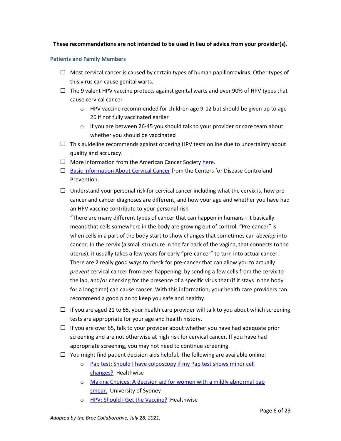# **These recommendations are not intended to be used in lieu of advice from your provider(s).**

## <span id="page-7-0"></span>**Patients and Family Members**

- Most cervical cancer is caused by certain types of human papilloma**virus**. Other types of this virus can cause genital warts.
- $\Box$  The 9 valent HPV vaccine protects against genital warts and over 90% of HPV types that cause cervical cancer
	- $\circ$  HPV vaccine recommended for children age 9-12 but should be given up to age 26 if not fully vaccinated earlier
	- $\circ$  If you are between 26-45 you should talk to your provider or care team about whether you should be vaccinated
- $\Box$  This guideline recommends against ordering HPV tests online due to uncertainty about quality and accuracy.
- $\Box$  More information from the American Cancer Societ[y here.](https://www.cancer.org/cancer/cervical-cancer/about/what-is-cervical-cancer.html)
- $\Box$  [Basic Information About Cervical Cancer](https://www.cdc.gov/cancer/cervical/basic_info/index.htm) from the Centers for Disease Controland Prevention.
- $\Box$  Understand your personal risk for cervical cancer including what the cervix is, how precancer and cancer diagnoses are different, and how your age and whether you have had an HPV vaccine contribute to your personal risk.

"There are many different types of cancer that can happen in humans - it basically means that cells somewhere in the body are growing out of control. "Pre-cancer" is when cells in a part of the body start to show changes that sometimes can *develop* into cancer. In the cervix (a small structure in the far back of the vagina, that connects to the uterus), it usually takes a few years for early "pre-cancer" to turn into actual cancer. There are 2 really good ways to check for pre-cancer that can allow you to actually *prevent* cervical cancer from ever happening: by sending a few cells from the cervix to the lab, and/or checking for the presence of a specific virus that (if it stays in the body for a long time) can cause cancer. With this information, your health care providers can recommend a good plan to keep you safe and healthy.

- $\Box$  If you are aged 21 to 65, your health care provider will talk to you about which screening tests are appropriate for your age and health history.
- $\Box$  If you are over 65, talk to your provider about whether you have had adequate prior screening and are not otherwise at high risk for cervical cancer. If you have had appropriate screening, you may not need to continue screening.
- $\Box$  You might find patient decision aids helpful. The following are available online:
	- o [Pap test: Should I have colposcopy if my Pap test shows minor cell](https://decisionaid.ohri.ca/AZsumm.php?ID=1026)  [changes?](https://decisionaid.ohri.ca/AZsumm.php?ID=1026) Healthwise
	- o [Making Choices: A decision aid for women with a mildly abnormal pap](https://decisionaid.ohri.ca/AZsumm.php?ID=1251)  [smear.](https://decisionaid.ohri.ca/AZsumm.php?ID=1251) University of Sydney
	- o [HPV: Should I Get the Vaccine?](https://decisionaid.ohri.ca/AZsumm.php?ID=1647) Healthwise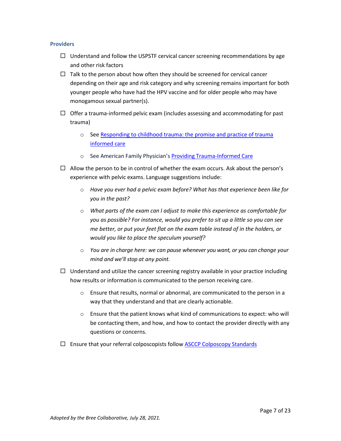## <span id="page-8-0"></span>**Providers**

- $\Box$  Understand and follow the USPSTF cervical cancer screening recommendations by age and other risk factors
- $\Box$  Talk to the person about how often they should be screened for cervical cancer depending on their age and risk category and why screening remains important for both younger people who have had the HPV vaccine and for older people who may have monogamous sexual partner(s).
- $\Box$  Offer a trauma-informed pelvic exam (includes assessing and accommodating for past trauma)
	- o See [Responding to childhood trauma: the promise and practice of trauma](http://childrescuebill.org/VictimsOfAbuse/RespondingHodas.pdf) [informed](http://childrescuebill.org/VictimsOfAbuse/RespondingHodas.pdf) care
	- o See American Family Physician's Providing [Trauma-Informed](https://www.aafp.org/afp/2017/0515/p655.html#afp20170515p655-b1) Care
- $\Box$  Allow the person to be in control of whether the exam occurs. Ask about the person's experience with pelvic exams. Language suggestions include:
	- o *Have you ever had a pelvic exam before? What has that experience been like for you in the past?*
	- o *What parts of the exam can I adjust to make this experience as comfortable for you as possible? For instance, would you prefer to sit up a little so you can see me better, or put your feet flat on the exam table instead of in the holders, or would you like to place the speculum yourself?*
	- o *You are in charge here: we can pause whenever you want, or you can change your mind and we'll stop at any point.*
- $\Box$  Understand and utilize the cancer screening registry available in your practice including how results or information is communicated to the person receiving care.
	- o Ensure that results, normal or abnormal, are communicated to the person in a way that they understand and that are clearly actionable.
	- $\circ$  Ensure that the patient knows what kind of communications to expect: who will be contacting them, and how, and how to contact the provider directly with any questions or concerns.
- $\Box$  Ensure that your referral colposcopists follow  $\Delta$ SCCP [Colposcopy](https://pubmed.ncbi.nlm.nih.gov/28953110/) Standards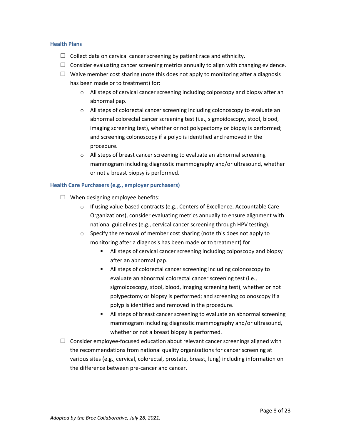## <span id="page-9-0"></span>**Health Plans**

- $\Box$  Collect data on cervical cancer screening by patient race and ethnicity.
- $\Box$  Consider evaluating cancer screening metrics annually to align with changing evidence.
- $\Box$  Waive member cost sharing (note this does not apply to monitoring after a diagnosis has been made or to treatment) for:
	- o All steps of cervical cancer screening including colposcopy and biopsy after an abnormal pap.
	- o All steps of colorectal cancer screening including colonoscopy to evaluate an abnormal colorectal cancer screening test (i.e., sigmoidoscopy, stool, blood, imaging screening test), whether or not polypectomy or biopsy is performed; and screening colonoscopy if a polyp is identified and removed in the procedure.
	- o All steps of breast cancer screening to evaluate an abnormal screening mammogram including diagnostic mammography and/or ultrasound, whether or not a breast biopsy is performed.

## <span id="page-9-1"></span>**Health Care Purchasers (e.g., employer purchasers)**

- $\Box$  When designing employee benefits:
	- o If using value-based contracts (e.g., Centers of Excellence, Accountable Care Organizations), consider evaluating metrics annually to ensure alignment with national guidelines (e.g., cervical cancer screening through HPV testing).
	- o Specify the removal of member cost sharing (note this does not apply to monitoring after a diagnosis has been made or to treatment) for:
		- All steps of cervical cancer screening including colposcopy and biopsy after an abnormal pap.
		- All steps of colorectal cancer screening including colonoscopy to evaluate an abnormal colorectal cancer screening test (i.e., sigmoidoscopy, stool, blood, imaging screening test), whether or not polypectomy or biopsy is performed; and screening colonoscopy if a polyp is identified and removed in the procedure.
		- All steps of breast cancer screening to evaluate an abnormal screening mammogram including diagnostic mammography and/or ultrasound, whether or not a breast biopsy is performed.
- $\Box$  Consider employee-focused education about relevant cancer screenings aligned with the recommendations from national quality organizations for cancer screening at various sites (e.g., cervical, colorectal, prostate, breast, lung) including information on the difference between pre-cancer and cancer.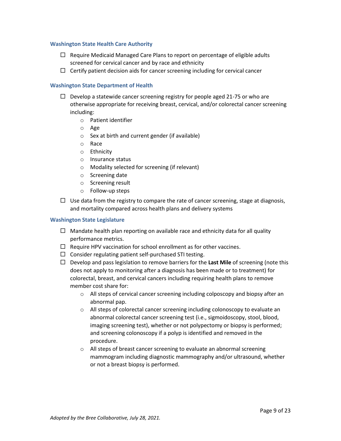## <span id="page-10-0"></span>**Washington State Health Care Authority**

- $\Box$  Require Medicaid Managed Care Plans to report on percentage of eligible adults screened for cervical cancer and by race and ethnicity
- $\Box$  Certify patient decision aids for cancer screening including for cervical cancer

# <span id="page-10-1"></span>**Washington State Department of Health**

- $\Box$  Develop a statewide cancer screening registry for people aged 21-75 or who are otherwise appropriate for receiving breast, cervical, and/or colorectal cancer screening including:
	- o Patient identifier
	- o Age
	- $\circ$  Sex at birth and current gender (if available)
	- o Race
	- o Ethnicity
	- o Insurance status
	- o Modality selected for screening (if relevant)
	- o Screening date
	- o Screening result
	- o Follow-up steps
- $\Box$  Use data from the registry to compare the rate of cancer screening, stage at diagnosis, and mortality compared across health plans and delivery systems

## <span id="page-10-2"></span>**Washington State Legislature**

- $\Box$  Mandate health plan reporting on available race and ethnicity data for all quality performance metrics.
- $\Box$  Require HPV vaccination for school enrollment as for other vaccines.
- $\Box$  Consider regulating patient self-purchased STI testing.
- □ Develop and pass legislation to remove barriers for the Last Mile of screening (note this does not apply to monitoring after a diagnosis has been made or to treatment) for colorectal, breast, and cervical cancers including requiring health plans to remove member cost share for:
	- o All steps of cervical cancer screening including colposcopy and biopsy after an abnormal pap.
	- o All steps of colorectal cancer screening including colonoscopy to evaluate an abnormal colorectal cancer screening test (i.e., sigmoidoscopy, stool, blood, imaging screening test), whether or not polypectomy or biopsy is performed; and screening colonoscopy if a polyp is identified and removed in the procedure.
	- o All steps of breast cancer screening to evaluate an abnormal screening mammogram including diagnostic mammography and/or ultrasound, whether or not a breast biopsy is performed.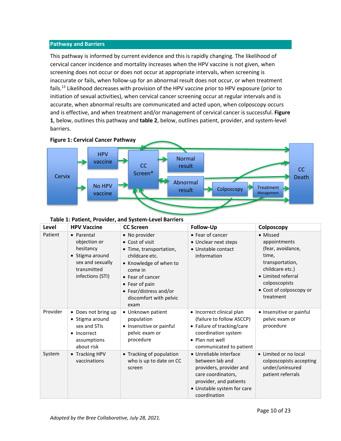#### <span id="page-11-0"></span>**Pathway and Barriers**

This pathway is informed by current evidence and this is rapidly changing. The likelihood of cervical cancer incidence and mortality increases when the HPV vaccine is not given, when screening does not occur or does not occur at appropriate intervals, when screening is inaccurate or fails, when follow-up for an abnormal result does not occur, or when treatment fails.<sup>13</sup> Likelihood decreases with provision of the HPV vaccine prior to HPV exposure (prior to initiation of sexual activities), when cervical cancer screening occur at regular intervals and is accurate, when abnormal results are communicated and acted upon, when colposcopy occurs and is effective, and when treatment and/or management of cervical cancer is successful. **Figure 1**, below, outlines this pathway and **table 2**, below, outlines patient, provider, and system-level barriers.



|  | Table 1: Patient, Provider, and System-Level Barriers |
|--|-------------------------------------------------------|
|--|-------------------------------------------------------|

| Level    | <b>HPV Vaccine</b>                                                                                                | <b>CC Screen</b>                                                                                                                                                                                                     | Follow-Up                                                                                                                                                          | Colposcopy                                                                                                                                                                  |
|----------|-------------------------------------------------------------------------------------------------------------------|----------------------------------------------------------------------------------------------------------------------------------------------------------------------------------------------------------------------|--------------------------------------------------------------------------------------------------------------------------------------------------------------------|-----------------------------------------------------------------------------------------------------------------------------------------------------------------------------|
| Patient  | • Parental<br>objection or<br>hesitancy<br>• Stigma around<br>sex and sexually<br>transmitted<br>infections (STI) | • No provider<br>• Cost of visit<br>• Time, transportation,<br>childcare etc.<br>• Knowledge of when to<br>come in<br>• Fear of cancer<br>• Fear of pain<br>• Fear/distress and/or<br>discomfort with pelvic<br>exam | • Fear of cancer<br>• Unclear next steps<br>• Unstable contact<br>information                                                                                      | • Missed<br>appointments<br>(fear, avoidance,<br>time,<br>transportation,<br>childcare etc.)<br>• Limited referral<br>colposcopists<br>• Cost of colposcopy or<br>treatment |
| Provider | • Does not bring up<br>• Stigma around<br>sex and STIs<br>• Incorrect<br>assumptions<br>about risk                | • Unknown patient<br>population<br>• Insensitive or painful<br>pelvic exam or<br>procedure                                                                                                                           | • Incorrect clinical plan<br>(failure to follow ASCCP)<br>• Failure of tracking/care<br>coordination system<br>• Plan not well<br>communicated to patient          | • Insensitive or painful<br>pelvic exam or<br>procedure                                                                                                                     |
| System   | • Tracking HPV<br>vaccinations                                                                                    | • Tracking of population<br>who is up to date on CC<br>screen                                                                                                                                                        | • Unreliable interface<br>between lab and<br>providers, provider and<br>care coordinators,<br>provider, and patients<br>• Unstable system for care<br>coordination | • Limited or no local<br>colposcopists accepting<br>under/uninsured<br>patient referrals                                                                                    |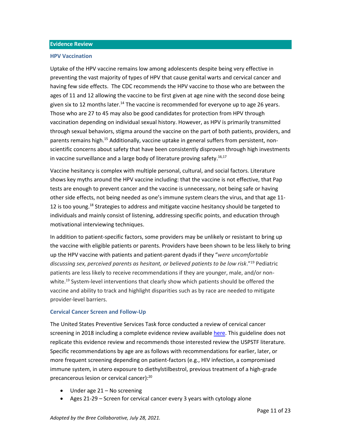#### <span id="page-12-0"></span>**Evidence Review**

#### <span id="page-12-1"></span>**HPV Vaccination**

Uptake of the HPV vaccine remains low among adolescents despite being very effective in preventing the vast majority of types of HPV that cause genital warts and cervical cancer and having few side effects. The CDC recommends the HPV vaccine to those who are between the ages of 11 and 12 allowing the vaccine to be first given at age nine with the second dose being given six to 12 months later.<sup>14</sup> The vaccine is recommended for everyone up to age 26 years. Those who are 27 to 45 may also be good candidates for protection from HPV through vaccination depending on individual sexual history. However, as HPV is primarily transmitted through sexual behaviors, stigma around the vaccine on the part of both patients, providers, and parents remains high.<sup>15</sup> Additionally, vaccine uptake in general suffers from persistent, nonscientific concerns about safety that have been consistently disproven through high investments in vaccine surveillance and a large body of literature proving safety.<sup>16,17</sup>

Vaccine hesitancy is complex with multiple personal, cultural, and social factors. Literature shows key myths around the HPV vaccine including: that the vaccine is not effective, that Pap tests are enough to prevent cancer and the vaccine is unnecessary, not being safe or having other side effects, not being needed as one's immune system clears the virus, and that age 11- 12 is too young.<sup>18</sup> Strategies to address and mitigate vaccine hesitancy should be targeted to individuals and mainly consist of listening, addressing specific points, and education through motivational interviewing techniques.

In addition to patient-specific factors, some providers may be unlikely or resistant to bring up the vaccine with eligible patients or parents. Providers have been shown to be less likely to bring up the HPV vaccine with patients and patient-parent dyads if they "*were uncomfortable discussing sex, perceived parents as hesitant, or believed patients to be low risk*."<sup>19</sup> Pediatric patients are less likely to receive recommendations if they are younger, male, and/or nonwhite.<sup>19</sup> System-level interventions that clearly show which patients should be offered the vaccine and ability to track and highlight disparities such as by race are needed to mitigate provider-level barriers.

## <span id="page-12-2"></span>**Cervical Cancer Screen and Follow-Up**

The United States Preventive Services Task force conducted a review of cervical cancer screening in 2018 including a complete evidence review available [here.](https://www.uspreventiveservicestaskforce.org/uspstf/document/evidence-summary/cervical-cancer-screening) This guideline does not replicate this evidence review and recommends those interested review the USPSTF literature. Specific recommendations by age are as follows with recommendations for earlier, later, or more frequent screening depending on patient-factors (e.g., HIV infection, a compromised immune system, in utero exposure to diethylstilbestrol, previous treatment of a high-grade precancerous lesion or cervical cancer):<sup>20</sup>

- Under age 21 No screening
- Ages 21-29 Screen for cervical cancer every 3 years with cytology alone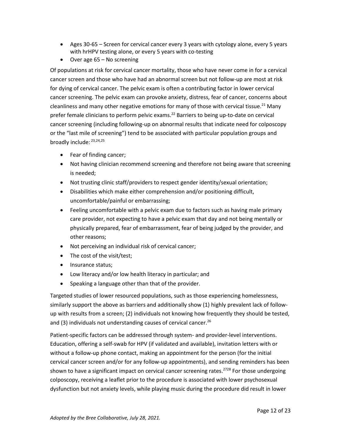- Ages 30-65 Screen for cervical cancer every 3 years with cytology alone, every 5 years with hrHPV testing alone, or every 5 years with co-testing
- Over age 65 No screening

Of populations at risk for cervical cancer mortality, those who have never come in for a cervical cancer screen and those who have had an abnormal screen but not follow-up are most at risk for dying of cervical cancer. The pelvic exam is often a contributing factor in lower cervical cancer screening. The pelvic exam can provoke anxiety, distress, fear of cancer, concerns about cleanliness and many other negative emotions for many of those with cervical tissue.<sup>21</sup> Many prefer female clinicians to perform pelvic exams.<sup>22</sup> Barriers to being up-to-date on cervical cancer screening (including following-up on abnormal results that indicate need for colposcopy or the "last mile of screening") tend to be associated with particular population groups and broadly include: 23,24,25

- Fear of finding cancer;
- Not having clinician recommend screening and therefore not being aware that screening is needed;
- Not trusting clinic staff/providers to respect gender identity/sexual orientation;
- Disabilities which make either comprehension and/or positioning difficult, uncomfortable/painful or embarrassing;
- Feeling uncomfortable with a pelvic exam due to factors such as having male primary care provider, not expecting to have a pelvic exam that day and not being mentally or physically prepared, fear of embarrassment, fear of being judged by the provider, and other reasons;
- Not perceiving an individual risk of cervical cancer;
- The cost of the visit/test;
- Insurance status;
- Low literacy and/or low health literacy in particular; and
- Speaking a language other than that of the provider.

Targeted studies of lower resourced populations, such as those experiencing homelessness, similarly support the above as barriers and additionally show (1) highly prevalent lack of followup with results from a screen; (2) individuals not knowing how frequently they should be tested, and (3) individuals not understanding causes of cervical cancer.<sup>26</sup>

Patient-specific factors can be addressed through system- and provider-level interventions. Education, offering a self-swab for HPV (if validated and available), invitation letters with or without a follow-up phone contact, making an appointment for the person (for the initial cervical cancer screen and/or for any follow-up appointments), and sending reminders has been shown to have a significant impact on cervical cancer screening rates.<sup>2728</sup> For those undergoing colposcopy, receiving a leaflet prior to the procedure is associated with lower psychosexual dysfunction but not anxiety levels, while playing music during the procedure did result in lower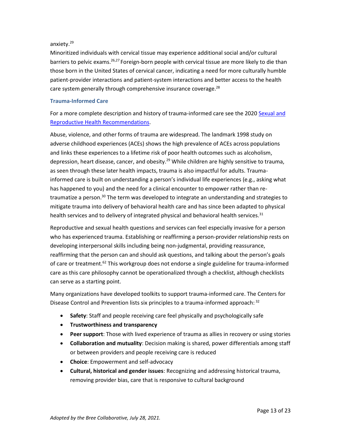# anxiety.<sup>29</sup>

Minoritized individuals with cervical tissue may experience additional social and/or cultural barriers to pelvic exams.<sup>26,27</sup> Foreign-born people with cervical tissue are more likely to die than those born in the United States of cervical cancer, indicating a need for more culturally humble patient-provider interactions and patient-system interactions and better access to the health care system generally through comprehensive insurance coverage.<sup>28</sup>

# <span id="page-14-0"></span>**Trauma-Informed Care**

For a more complete description and history of trauma-informed care see the 2020 [Sexual and](https://www.qualityhealth.org/bree/wp-content/uploads/sites/8/2020/11/Recommendations-Repro-Health-FINAL-2020.pdf)  [Reproductive Health Recommendations.](https://www.qualityhealth.org/bree/wp-content/uploads/sites/8/2020/11/Recommendations-Repro-Health-FINAL-2020.pdf)

Abuse, violence, and other forms of trauma are widespread. The landmark 1998 study on adverse childhood experiences (ACEs) shows the high prevalence of ACEs across populations and links these experiences to a lifetime risk of poor health outcomes such as alcoholism, depression, heart disease, cancer, and obesity.<sup>29</sup> While children are highly sensitive to trauma, as seen through these later health impacts, trauma is also impactful for adults. Traumainformed care is built on understanding a person's individual life experiences (e.g., asking what has happened to you) and the need for a clinical encounter to empower rather than retraumatize a person.<sup>30</sup> The term was developed to integrate an understanding and strategies to mitigate trauma into delivery of behavioral health care and has since been adapted to physical health services and to delivery of integrated physical and behavioral health services.<sup>31</sup>

Reproductive and sexual health questions and services can feel especially invasive for a person who has experienced trauma. Establishing or reaffirming a person-provider relationship rests on developing interpersonal skills including being non-judgmental, providing reassurance, reaffirming that the person can and should ask questions, and talking about the person's goals of care or treatment.<sup>62</sup> This workgroup does not endorse a single guideline for trauma-informed care as this care philosophy cannot be operationalized through a checklist, although checklists can serve as a starting point.

Many organizations have developed toolkits to support trauma-informed care. The Centers for Disease Control and Prevention lists six principles to a trauma-informed approach: 32

- **Safety**: Staff and people receiving care feel physically and psychologically safe
- **Trustworthiness and transparency**
- **Peer support**: Those with lived experience of trauma as allies in recovery or using stories
- **Collaboration and mutuality**: Decision making is shared, power differentials among staff or between providers and people receiving care is reduced
- **Choice**: Empowerment and self-advocacy
- **Cultural, historical and gender issues**: Recognizing and addressing historical trauma, removing provider bias, care that is responsive to cultural background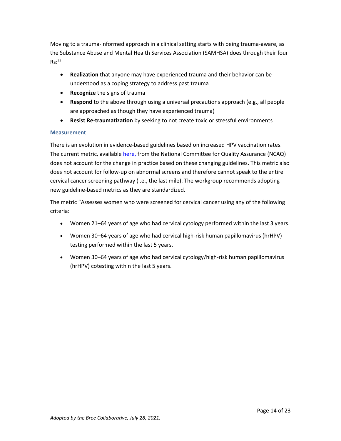Moving to a trauma-informed approach in a clinical setting starts with being trauma-aware, as the Substance Abuse and Mental Health Services Association (SAMHSA) does through their four  $Rs:33$ 

- **Realization** that anyone may have experienced trauma and their behavior can be understood as a coping strategy to address past trauma
- **Recognize** the signs of trauma
- **Respond** to the above through using a universal precautions approach (e.g., all people are approached as though they have experienced trauma)
- **Resist Re-traumatization** by seeking to not create toxic or stressful environments

# <span id="page-15-0"></span>**Measurement**

There is an evolution in evidence-based guidelines based on increased HPV vaccination rates. The current metric, available [here,](https://www.ncqa.org/hedis/measures/cervical-cancer-screening/) from the National Committee for Quality Assurance (NCAQ) does not account for the change in practice based on these changing guidelines. This metric also does not account for follow-up on abnormal screens and therefore cannot speak to the entire cervical cancer screening pathway (i.e., the last mile). The workgroup recommends adopting new guideline-based metrics as they are standardized.

The metric "Assesses women who were screened for cervical cancer using any of the following criteria:

- Women 21–64 years of age who had cervical cytology performed within the last 3 years.
- Women 30–64 years of age who had cervical high-risk human papillomavirus (hrHPV) testing performed within the last 5 years.
- Women 30–64 years of age who had cervical cytology/high-risk human papillomavirus (hrHPV) cotesting within the last 5 years.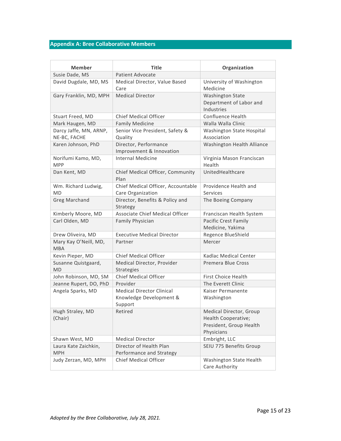# <span id="page-16-0"></span>**Appendix A: Bree Collaborative Members**

| Member                                 | <b>Title</b>                                                | Organization                                                                            |
|----------------------------------------|-------------------------------------------------------------|-----------------------------------------------------------------------------------------|
| Susie Dade, MS                         | <b>Patient Advocate</b>                                     |                                                                                         |
| David Dugdale, MD, MS                  | Medical Director, Value Based<br>Care                       | University of Washington<br>Medicine                                                    |
| Gary Franklin, MD, MPH                 | <b>Medical Director</b>                                     | <b>Washington State</b><br>Department of Labor and<br>Industries                        |
| Stuart Freed, MD                       | <b>Chief Medical Officer</b>                                | <b>Confluence Health</b>                                                                |
| Mark Haugen, MD                        | <b>Family Medicine</b>                                      | Walla Walla Clinic                                                                      |
| Darcy Jaffe, MN, ARNP,<br>NE-BC, FACHE | Senior Vice President, Safety &<br>Quality                  | Washington State Hospital<br>Association                                                |
| Karen Johnson, PhD                     | Director, Performance<br>Improvement & Innovation           | Washington Health Alliance                                                              |
| Norifumi Kamo, MD,<br><b>MPP</b>       | <b>Internal Medicine</b>                                    | Virginia Mason Franciscan<br>Health                                                     |
| Dan Kent, MD                           | Chief Medical Officer, Community<br>Plan                    | UnitedHealthcare                                                                        |
| Wm. Richard Ludwig,                    | Chief Medical Officer, Accountable                          | Providence Health and                                                                   |
| MD                                     | Care Organization                                           | Services                                                                                |
| <b>Greg Marchand</b>                   | Director, Benefits & Policy and<br>Strategy                 | The Boeing Company                                                                      |
| Kimberly Moore, MD                     | Associate Chief Medical Officer                             | Franciscan Health System                                                                |
| Carl Olden, MD                         | <b>Family Physician</b>                                     | <b>Pacific Crest Family</b><br>Medicine, Yakima                                         |
| Drew Oliveira, MD                      | <b>Executive Medical Director</b>                           | Regence BlueShield                                                                      |
| Mary Kay O'Neill, MD,<br><b>MBA</b>    | Partner                                                     | Mercer                                                                                  |
| Kevin Pieper, MD                       | <b>Chief Medical Officer</b>                                | Kadlac Medical Center                                                                   |
| Susanne Quistgaard,<br><b>MD</b>       | Medical Director, Provider<br><b>Strategies</b>             | <b>Premera Blue Cross</b>                                                               |
| John Robinson, MD, SM                  | Chief Medical Officer                                       | <b>First Choice Health</b>                                                              |
| Jeanne Rupert, DO, PhD                 | Provider                                                    | The Everett Clinic                                                                      |
| Angela Sparks, MD                      | <b>Medical Director Clinical</b><br>Knowledge Development & | Kaiser Permanente<br>Washington                                                         |
| Hugh Straley, MD<br>(Chair)            | Support<br>Retired                                          | Medical Director, Group<br>Health Cooperative;<br>President, Group Health<br>Physicians |
| Shawn West, MD                         | <b>Medical Director</b>                                     | Embright, LLC                                                                           |
| Laura Kate Zaichkin,<br><b>MPH</b>     | Director of Health Plan<br>Performance and Strategy         | SEIU 775 Benefits Group                                                                 |
| Judy Zerzan, MD, MPH                   | <b>Chief Medical Officer</b>                                | Washington State Health<br>Care Authority                                               |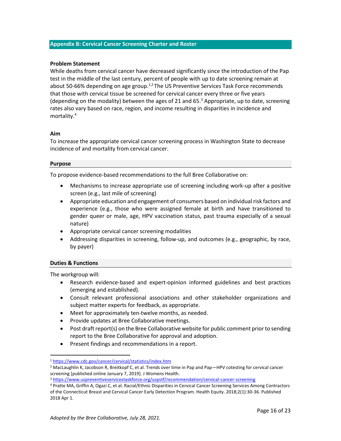## <span id="page-17-0"></span>**Appendix B: Cervical Cancer Screening Charter and Roster**

## **Problem Statement**

While deaths from cervical cancer have decreased significantly since the introduction of the Pap test in the middle of the last century, percent of people with up to date screening remain at about 50-66% depending on age group.<sup>1,2</sup> The US Preventive Services Task Force recommends that those with cervical tissue be screened for cervical cancer every three or five years (depending on the modality) between the ages of 21 and 65. $3$  Appropriate, up to date, screening rates also vary based on race, region, and income resulting in disparities in incidence and mortality.<sup>4</sup>

## **Aim**

To increase the appropriate cervical cancer screening process in Washington State to decrease incidence of and mortality from cervical cancer.

## **Purpose**

To propose evidence-based recommendations to the full Bree Collaborative on:

- Mechanisms to increase appropriate use of screening including work-up after a positive screen (e.g., last mile of screening)
- Appropriate education and engagement of consumers based on individual risk factors and experience (e.g., those who were assigned female at birth and have transitioned to gender queer or male, age, HPV vaccination status, past trauma especially of a sexual nature)
- Appropriate cervical cancer screening modalities
- Addressing disparities in screening, follow-up, and outcomes (e.g., geographic, by race, by payer)

# **Duties & Functions**

The workgroup will:

- Research evidence-based and expert-opinion informed guidelines and best practices (emerging and established).
- Consult relevant professional associations and other stakeholder organizations and subject matter experts for feedback, as appropriate.
- Meet for approximately ten-twelve months, as needed.
- Provide updates at Bree Collaborative meetings.
- Post draft report(s) on the Bree Collaborative website for public comment prior to sending report to the Bree Collaborative for approval and adoption.
- Present findings and recommendations in a report.

<sup>1</sup> <https://www.cdc.gov/cancer/cervical/statistics/index.htm>

<sup>&</sup>lt;sup>2</sup> MacLaughlin K, Jacobson R, Breitkopf C, et al. Trends over time in Pap and Pap—HPV cotesting for cervical cancer screening [published online January 7, 2019]. J Womens Health.

<sup>3</sup> <https://www.uspreventiveservicestaskforce.org/uspstf/recommendation/cervical-cancer-screening>

<sup>4</sup> Pratte MA, Griffin A, Ogazi C, et al. Racial/Ethnic Disparities in Cervical Cancer Screening Services Among Contractors of the Connecticut Breast and Cervical Cancer Early Detection Program. Health Equity. 2018;2(1):30-36. Published 2018 Apr 1.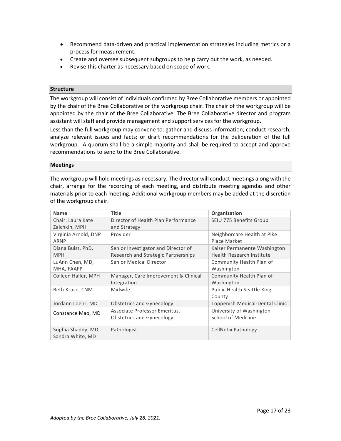- Recommend data-driven and practical implementation strategies including metrics or a process for measurement.
- Create and oversee subsequent subgroups to help carry out the work, as needed.
- Revise this charter as necessary based on scope of work.

## **Structure**

The workgroup will consist of individuals confirmed by Bree Collaborative members or appointed by the chair of the Bree Collaborative or the workgroup chair. The chair of the workgroup will be appointed by the chair of the Bree Collaborative. The Bree Collaborative director and program assistant will staff and provide management and support services for the workgroup.

Less than the full workgroup may convene to: gather and discuss information; conduct research; analyze relevant issues and facts; or draft recommendations for the deliberation of the full workgroup. A quorum shall be a simple majority and shall be required to accept and approve recommendations to send to the Bree Collaborative.

#### **Meetings**

The workgroup will hold meetings as necessary. The director will conduct meetings along with the chair, arrange for the recording of each meeting, and distribute meeting agendas and other materials prior to each meeting. Additional workgroup members may be added at the discretion of the workgroup chair.

| <b>Name</b>          | <b>Title</b>                         | Organization                      |
|----------------------|--------------------------------------|-----------------------------------|
| Chair: Laura Kate    | Director of Health Plan Performance  | SEIU 775 Benefits Group           |
| Zaichkin, MPH        | and Strategy                         |                                   |
| Virginia Arnold, DNP | Provider                             | Neighborcare Health at Pike       |
| ARNP                 |                                      | Place Market                      |
| Diana Buist, PhD,    | Senior Investigator and Director of  | Kaiser Permanente Washington      |
| <b>MPH</b>           | Research and Strategic Partnerships  | <b>Health Research Institute</b>  |
| LuAnn Chen, MD,      | Senior Medical Director              | Community Health Plan of          |
| MHA, FAAFP           |                                      | Washington                        |
| Colleen Haller, MPH  | Manager, Care Improvement & Clinical | Community Health Plan of          |
|                      | Integration                          | Washington                        |
| Beth Kruse, CNM      | Midwife                              | <b>Public Health Seattle King</b> |
|                      |                                      | County                            |
| Jordann Loehr, MD    | <b>Obstetrics and Gynecology</b>     | Toppenish Medical-Dental Clinic   |
| Constance Mao, MD    | Associate Professor Emeritus,        | University of Washington          |
|                      | Obstetrics and Gynecology            | School of Medicine                |
|                      |                                      |                                   |
| Sophia Shaddy, MD,   | Pathologist                          | CellNetix Pathology               |
| Sandra White, MD     |                                      |                                   |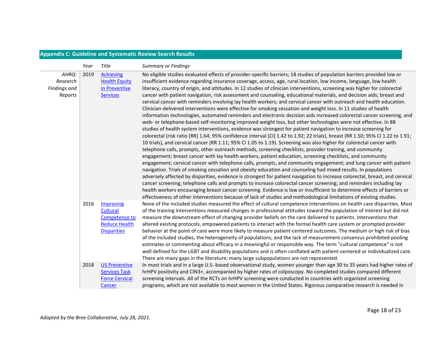# **Appendix C: Guideline and Systematic Review Search Results**

<span id="page-19-0"></span>

|                                              | Year | Title                                                                                | <b>Summary or Findings</b>                                                                                                                                                                                                                                                                                                                                                                                                                                                                                                                                                                                                                                                                                                                                                                                                                                                                                                                                                                                                                                                                                                                                                                                                                                                                                                                                                                                                                                                                                                                                                                                                                                                                                                                                                                                                                                                                                                                                                                                                                                                                                                                                                                                                                                                                                                                  |
|----------------------------------------------|------|--------------------------------------------------------------------------------------|---------------------------------------------------------------------------------------------------------------------------------------------------------------------------------------------------------------------------------------------------------------------------------------------------------------------------------------------------------------------------------------------------------------------------------------------------------------------------------------------------------------------------------------------------------------------------------------------------------------------------------------------------------------------------------------------------------------------------------------------------------------------------------------------------------------------------------------------------------------------------------------------------------------------------------------------------------------------------------------------------------------------------------------------------------------------------------------------------------------------------------------------------------------------------------------------------------------------------------------------------------------------------------------------------------------------------------------------------------------------------------------------------------------------------------------------------------------------------------------------------------------------------------------------------------------------------------------------------------------------------------------------------------------------------------------------------------------------------------------------------------------------------------------------------------------------------------------------------------------------------------------------------------------------------------------------------------------------------------------------------------------------------------------------------------------------------------------------------------------------------------------------------------------------------------------------------------------------------------------------------------------------------------------------------------------------------------------------|
| AHRQ:<br>Research<br>Findings and<br>Reports | 2019 | <b>Achieving</b><br><b>Health Equity</b><br>in Preventive<br><b>Services</b>         | No eligible studies evaluated effects of provider-specific barriers; 18 studies of population barriers provided low or<br>insufficient evidence regarding insurance coverage, access, age, rural location, low income, language, low health<br>literacy, country of origin, and attitudes. In 12 studies of clinician interventions, screening was higher for colorectal<br>cancer with patient navigation, risk assessment and counseling, educational materials, and decision aids; breast and<br>cervical cancer with reminders involving lay health workers; and cervical cancer with outreach and health education.<br>Clinician-delivered interventions were effective for smoking cessation and weight loss. In 11 studies of health<br>information technologies, automated reminders and electronic decision aids increased colorectal cancer screening, and<br>web- or telephone-based self-monitoring improved weight loss, but other technologies were not effective. In 88<br>studies of health system interventions, evidence was strongest for patient navigation to increase screening for<br>colorectal (risk ratio [RR] 1.64; 95% confidence interval [Cl] 1.42 to 1.92; 22 trials), breast (RR 1.50; 95% Cl 1.22 to 1.91;<br>10 trials), and cervical cancer (RR 1.11; 95% CI 1.05 to 1.19). Screening was also higher for colorectal cancer with<br>telephone calls, prompts, other outreach methods, screening checklists, provider training, and community<br>engagement; breast cancer with lay health workers, patient education, screening checklists, and community<br>engagement; cervical cancer with telephone calls, prompts, and community engagement; and lung cancer with patient<br>navigation. Trials of smoking cessation and obesity education and counseling had mixed results. In populations<br>adversely affected by disparities, evidence is strongest for patient navigation to increase colorectal, breast, and cervical<br>cancer screening; telephone calls and prompts to increase colorectal cancer screening; and reminders including lay<br>health workers encouraging breast cancer screening. Evidence is low or insufficient to determine effects of barriers or<br>effectiveness of other interventions because of lack of studies and methodological limitations of existing studies. |
|                                              | 2016 | Improving<br>Cultural<br>Competence to<br><b>Reduce Health</b><br><b>Disparities</b> | None of the included studies measured the effect of cultural competence interventions on health care disparities. Most<br>of the training interventions measured changes in professional attitudes toward the population of interest but did not<br>measure the downstream effect of changing provider beliefs on the care delivered to patients. Interventions that<br>altered existing protocols, empowered patients to interact with the formal health care system or prompted provider<br>behavior at the point of care were more likely to measure patient-centered outcomes. The medium or high risk of bias<br>of the included studies, the heterogeneity of populations, and the lack of measurement consensus prohibited pooling<br>estimates or commenting about efficacy in a meaningful or responsible way. The term "cultural competence" is not<br>well defined for the LGBT and disability populations and is often conflated with patient-centered or individualized care.<br>There are many gaps in the literature; many large subpopulations are not represented.                                                                                                                                                                                                                                                                                                                                                                                                                                                                                                                                                                                                                                                                                                                                                                                                                                                                                                                                                                                                                                                                                                                                                                                                                                                         |
|                                              | 2018 | <b>US Preventive</b><br><b>Services Task</b><br><b>Force Cervical</b><br>Cancer      | In most trials and in a large U.S.-based observational study, women younger than age 30 to 35 years had higher rates of<br>hrHPV positivity and CIN3+, accompanied by higher rates of colposcopy. No completed studies compared different<br>screening intervals. All of the RCTs on hrHPV screening were conducted in countries with organized screening<br>programs, which are not available to most women in the United States. Rigorous comparative research is needed in                                                                                                                                                                                                                                                                                                                                                                                                                                                                                                                                                                                                                                                                                                                                                                                                                                                                                                                                                                                                                                                                                                                                                                                                                                                                                                                                                                                                                                                                                                                                                                                                                                                                                                                                                                                                                                                               |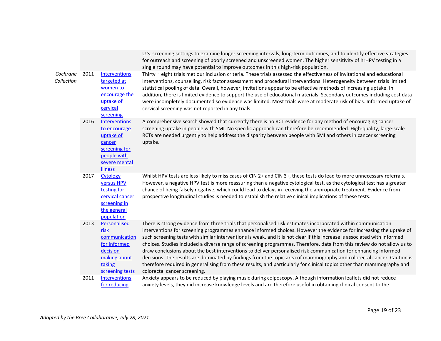|                        |      |                                                                                                                         | U.S. screening settings to examine longer screening intervals, long-term outcomes, and to identify effective strategies<br>for outreach and screening of poorly screened and unscreened women. The higher sensitivity of hrHPV testing in a<br>single round may have potential to improve outcomes in this high-risk population.                                                                                                                                                                                                                                                                                                                                                                                                                                                                                                                                                                 |
|------------------------|------|-------------------------------------------------------------------------------------------------------------------------|--------------------------------------------------------------------------------------------------------------------------------------------------------------------------------------------------------------------------------------------------------------------------------------------------------------------------------------------------------------------------------------------------------------------------------------------------------------------------------------------------------------------------------------------------------------------------------------------------------------------------------------------------------------------------------------------------------------------------------------------------------------------------------------------------------------------------------------------------------------------------------------------------|
| Cochrane<br>Collection | 2011 | <b>Interventions</b><br>targeted at<br>women to<br>encourage the<br>uptake of<br>cervical<br>screening                  | Thirty - eight trials met our inclusion criteria. These trials assessed the effectiveness of invitational and educational<br>interventions, counselling, risk factor assessment and procedural interventions. Heterogeneity between trials limited<br>statistical pooling of data. Overall, however, invitations appear to be effective methods of increasing uptake. In<br>addition, there is limited evidence to support the use of educational materials. Secondary outcomes including cost data<br>were incompletely documented so evidence was limited. Most trials were at moderate risk of bias. Informed uptake of<br>cervical screening was not reported in any trials.                                                                                                                                                                                                                 |
|                        | 2016 | <b>Interventions</b><br>to encourage<br>uptake of<br>cancer<br>screening for<br>people with<br>severe mental<br>illness | A comprehensive search showed that currently there is no RCT evidence for any method of encouraging cancer<br>screening uptake in people with SMI. No specific approach can therefore be recommended. High-quality, large-scale<br>RCTs are needed urgently to help address the disparity between people with SMI and others in cancer screening<br>uptake.                                                                                                                                                                                                                                                                                                                                                                                                                                                                                                                                      |
|                        | 2017 | Cytology<br>versus HPV<br>testing for<br>cervical cancer<br>screening in<br>the general<br>population                   | Whilst HPV tests are less likely to miss cases of CIN 2+ and CIN 3+, these tests do lead to more unnecessary referrals.<br>However, a negative HPV test is more reassuring than a negative cytological test, as the cytological test has a greater<br>chance of being falsely negative, which could lead to delays in receiving the appropriate treatment. Evidence from<br>prospective longitudinal studies is needed to establish the relative clinical implications of these tests.                                                                                                                                                                                                                                                                                                                                                                                                           |
|                        | 2013 | Personalised<br>risk<br>communication<br>for informed<br>decision<br>making about<br>taking<br>screening tests          | There is strong evidence from three trials that personalised risk estimates incorporated within communication<br>interventions for screening programmes enhance informed choices. However the evidence for increasing the uptake of<br>such screening tests with similar interventions is weak, and it is not clear if this increase is associated with informed<br>choices. Studies included a diverse range of screening programmes. Therefore, data from this review do not allow us to<br>draw conclusions about the best interventions to deliver personalised risk communication for enhancing informed<br>decisions. The results are dominated by findings from the topic area of mammography and colorectal cancer. Caution is<br>therefore required in generalising from these results, and particularly for clinical topics other than mammography and<br>colorectal cancer screening. |
|                        | 2011 | <b>Interventions</b><br>for reducing                                                                                    | Anxiety appears to be reduced by playing music during colposcopy. Although information leaflets did not reduce<br>anxiety levels, they did increase knowledge levels and are therefore useful in obtaining clinical consent to the                                                                                                                                                                                                                                                                                                                                                                                                                                                                                                                                                                                                                                                               |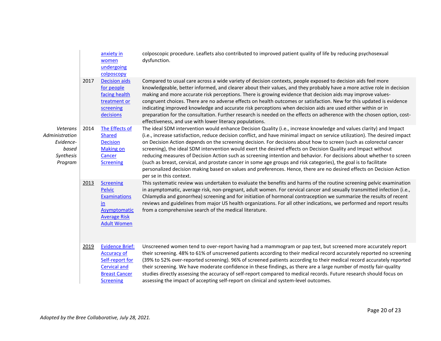|                                                                          |      | anxiety in<br>women<br>undergoing<br>colposcopy                                                                                     | colposcopic procedure. Leaflets also contributed to improved patient quality of life by reducing psychosexual<br>dysfunction.                                                                                                                                                                                                                                                                                                                                                                                                                                                                                                                                                                                                                                                                                                                                                            |
|--------------------------------------------------------------------------|------|-------------------------------------------------------------------------------------------------------------------------------------|------------------------------------------------------------------------------------------------------------------------------------------------------------------------------------------------------------------------------------------------------------------------------------------------------------------------------------------------------------------------------------------------------------------------------------------------------------------------------------------------------------------------------------------------------------------------------------------------------------------------------------------------------------------------------------------------------------------------------------------------------------------------------------------------------------------------------------------------------------------------------------------|
|                                                                          | 2017 | <b>Decision aids</b><br>for people<br>facing health<br>treatment or<br>screening<br>decisions                                       | Compared to usual care across a wide variety of decision contexts, people exposed to decision aids feel more<br>knowledgeable, better informed, and clearer about their values, and they probably have a more active role in decision<br>making and more accurate risk perceptions. There is growing evidence that decision aids may improve values-<br>congruent choices. There are no adverse effects on health outcomes or satisfaction. New for this updated is evidence<br>indicating improved knowledge and accurate risk perceptions when decision aids are used either within or in<br>preparation for the consultation. Further research is needed on the effects on adherence with the chosen option, cost-<br>effectiveness, and use with lower literacy populations.                                                                                                         |
| Veterans<br>Administration<br>Evidence-<br>based<br>Synthesis<br>Program | 2014 | The Effects of<br><b>Shared</b><br><b>Decision</b><br><b>Making on</b><br>Cancer<br><b>Screening</b>                                | The ideal SDM intervention would enhance Decision Quality (i.e., increase knowledge and values clarity) and Impact<br>(i.e., increase satisfaction, reduce decision conflict, and have minimal impact on service utilization). The desired impact<br>on Decision Action depends on the screening decision. For decisions about how to screen (such as colorectal cancer<br>screening), the ideal SDM intervention would exert the desired effects on Decision Quality and Impact without<br>reducing measures of Decision Action such as screening intention and behavior. For decisions about whether to screen<br>(such as breast, cervical, and prostate cancer in some age groups and risk categories), the goal is to facilitate<br>personalized decision making based on values and preferences. Hence, there are no desired effects on Decision Action<br>per se in this context. |
|                                                                          | 2013 | <b>Screening</b><br><b>Pelvic</b><br><b>Examinations</b><br>in.<br><b>Asymptomatic</b><br><b>Average Risk</b><br><b>Adult Women</b> | This systematic review was undertaken to evaluate the benefits and harms of the routine screening pelvic examination<br>in asymptomatic, average risk, non-pregnant, adult women. For cervical cancer and sexually transmitted infection (i.e.,<br>Chlamydia and gonorrhea) screening and for initiation of hormonal contraception we summarize the results of recent<br>reviews and guidelines from major US health organizations. For all other indications, we performed and report results<br>from a comprehensive search of the medical literature.                                                                                                                                                                                                                                                                                                                                 |
|                                                                          | 2019 | <b>Evidence Brief:</b><br><b>Accuracy of</b><br>Self-report for<br><b>Cervical and</b><br><b>Breast Cancer</b><br><b>Screening</b>  | Unscreened women tend to over-report having had a mammogram or pap test, but screened more accurately report<br>their screening. 48% to 61% of unscreened patients according to their medical record accurately reported no screening<br>(39% to 52% over-reported screening). 96% of screened patients according to their medical record accurately reported<br>their screening. We have moderate confidence in these findings, as there are a large number of mostly fair-quality<br>studies directly assessing the accuracy of self-report compared to medical records. Future research should focus on<br>assessing the impact of accepting self-report on clinical and system-level outcomes.                                                                                                                                                                                       |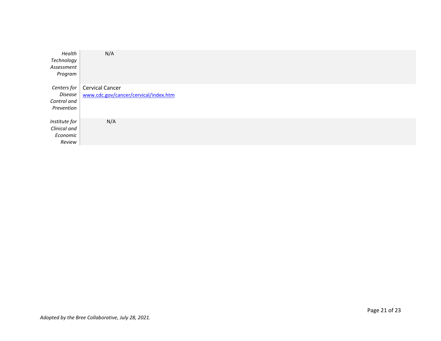| Health<br>Technology<br>Assessment<br>Program       | N/A                                                             |
|-----------------------------------------------------|-----------------------------------------------------------------|
| Centers for<br>Disease<br>Control and<br>Prevention | <b>Cervical Cancer</b><br>www.cdc.gov/cancer/cervical/index.htm |
| Institute for<br>Clinical and<br>Economic<br>Review | N/A                                                             |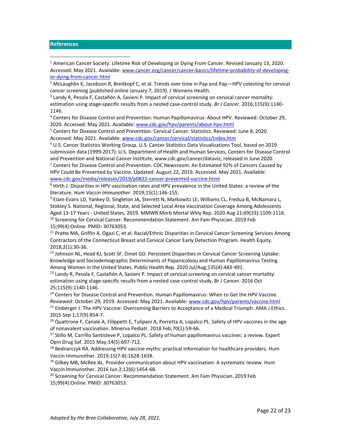#### <span id="page-23-0"></span>**References**

<sup>1</sup> American Cancer Society. Lifetime Risk of Developing or Dying From Cancer. Revised January 13, 2020. Accessed: May 2021. Available: [www.cancer.org/cancer/cancer-basics/lifetime-probability-of-developing](http://www.cancer.org/cancer/cancer-basics/lifetime-probability-of-developing-or-dying-from-cancer.html)[or-dying-from-cancer.html](http://www.cancer.org/cancer/cancer-basics/lifetime-probability-of-developing-or-dying-from-cancer.html)

<sup>2</sup> McLaughlin K, Jacobson R, Breitkopf C, et al. Trends over time in Pap and Pap-HPV cotesting for cervical cancer screening [published online January 7, 2019]. J Womens Health.

3 Landy R, Pesola F, Castañón A, Sasieni P. Impact of cervical screening on cervical cancer mortality: estimation using stage-specific results from a nested case-control study. *Br J Cancer*. 2016;115(9):1140- 1146.

<sup>4</sup> Centers for Disease Control and Prevention. Human Papillomavirus: About HPV. Reviewed: October 29, 2020. Accessed: May 2021. Available[: www.cdc.gov/hpv/parents/about-hpv.html](http://www.cdc.gov/hpv/parents/about-hpv.html)

<sup>5</sup> Centers for Disease Control and Prevention. Cervical Cancer: Statistics. Reviewed: June 8, 2020. Accessed: May 2021. Available: [www.cdc.gov/cancer/cervical/statistics/index.htm](http://www.cdc.gov/cancer/cervical/statistics/index.htm)

<sup>6</sup> U.S. Cancer Statistics Working Group. U.S. Cancer Statistics Data Visualizations Tool, based on 2019 submission data (1999-2017): U.S. Department of Health and Human Services, Centers for Disease Control and Prevention and National Cancer Institute; www.cdc.gov/cancer/dataviz, released in June 2020.  $7$  Centers for Disease Control and Prevention. CDC Newsroom: An Estimated 92% of Cancers Caused by

HPV Could Be Prevented by Vaccine. Updated: August 22, 2019. Accessed: May 2021. Available: [www.cdc.gov/media/releases/2019/p0822-cancer-prevented-vaccine.html](http://www.cdc.gov/media/releases/2019/p0822-cancer-prevented-vaccine.html)

<sup>8</sup> Hirth J. Disparities in HPV vaccination rates and HPV prevalence in the United States: a review of the literature. *Hum Vaccin Immunother*. 2019;15(1):146-155.

<sup>9</sup> Elam-Evans LD, Yankey D, Singleton JA, Sterrett N, Markowitz LE, Williams CL, Fredua B, McNamara L, Stokley S. National, Regional, State, and Selected Local Area Vaccination Coverage Among Adolescents Aged 13-17 Years - United States, 2019. MMWR Morb Mortal Wkly Rep. 2020 Aug 21;69(33):1109-1116. <sup>10</sup> Screening for Cervical Cancer: Recommendation Statement. Am Fam Physician. 2019 Feb 15;99(4):Online. PMID: 30763053.

<sup>11</sup> Pratte MA, Griffin A, Ogazi C, et al. Racial/Ethnic Disparities in Cervical Cancer Screening Services Among Contractors of the Connecticut Breast and Cervical Cancer Early Detection Program. Health Equity. 2018;2(1):30-36.

<sup>12</sup> Johnson NL, Head KJ, Scott SF, Zimet GD. Persistent Disparities in Cervical Cancer Screening Uptake: Knowledge and Sociodemographic Determinants of Papanicolaou and Human Papillomavirus Testing Among Women in the United States. Public Health Rep. 2020 Jul/Aug;135(4):483-491.

 $13$  Landy R, Pesola F, Castañón A, Sasieni P. Impact of cervical screening on cervical cancer mortality: estimation using stage-specific results from a nested case-control study. Br J Cancer. 2016 Oct 25;115(9):1140-1146.

<sup>14</sup> Centers for Disease Control and Prevention. Human Papillomavirus: When to Get the HPV Vaccine. Reviewed: October 29, 2019. Accessed: May 2021. Available: [www.cdc.gov/hpv/parents/vaccine.html](http://www.cdc.gov/hpv/parents/vaccine.html) <sup>15</sup> Emberger J. The HPV Vaccine: Overcoming Barriers to Acceptance of a Medical Triumph. AMA J Ethics. 2015 Sep 1;17(9):854-7.

<sup>16</sup> Quattrone F, Canale A, Filippetti E, Tulipani A, Porretta A, Lopalco PL. Safety of HPV vaccines in the age of nonavalent vaccination. Minerva Pediatr. 2018 Feb;70(1):59-66.

<sup>17</sup> Stillo M, Carrillo Santisteve P, Lopalco PL. Safety of human papillomavirus vaccines: a review. Expert Opin Drug Saf. 2015 May;14(5):697-712.

<sup>18</sup> Bednarczyk RA. Addressing HPV vaccine myths: practical information for healthcare providers. Hum Vaccin Immunother. 2019;15(7-8):1628-1638.

 $19$  Gilkey MB, McRee AL. Provider communication about HPV vaccination: A systematic review. Hum Vaccin Immunother. 2016 Jun 2;12(6):1454-68.

<sup>20</sup> Screening for Cervical Cancer: Recommendation Statement. Am Fam Physician. 2019 Feb 15;99(4):Online. PMID: 30763053.